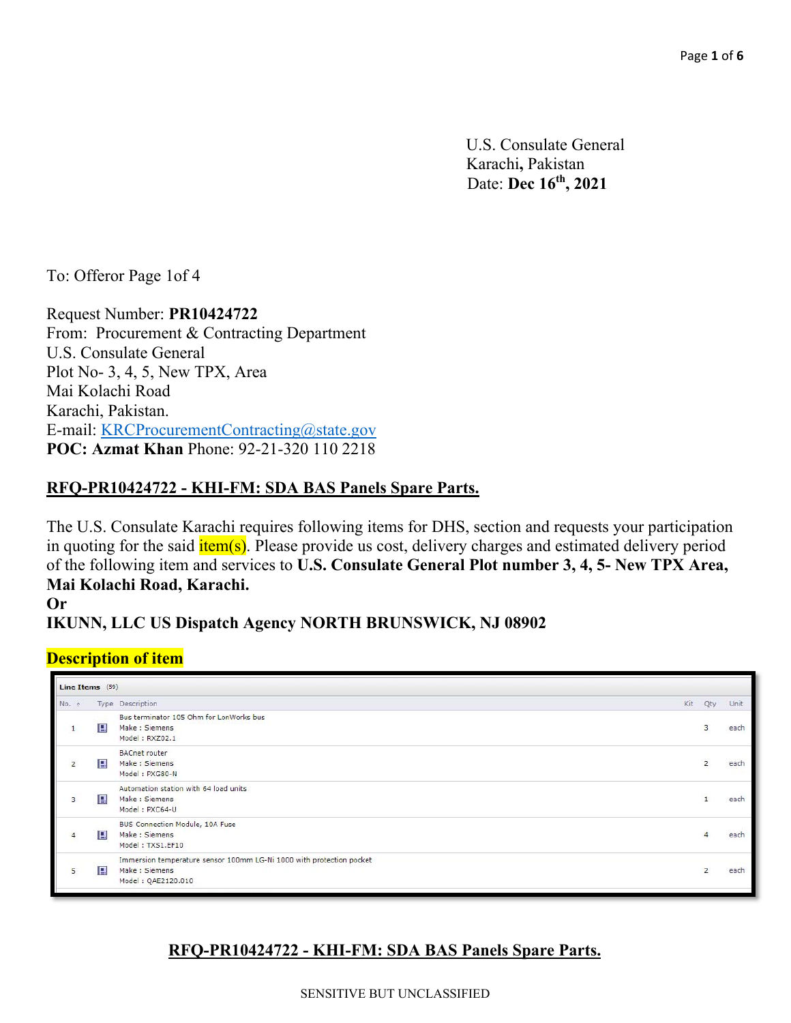U.S. Consulate General Karachi**,** Pakistan Date: **Dec 16th, 2021**

To: Offeror Page 1of 4

Request Number: **PR10424722** 

From: Procurement & Contracting Department U.S. Consulate General Plot No- 3, 4, 5, New TPX, Area Mai Kolachi Road Karachi, Pakistan. E-mail: KRCProcurementContracting@state.gov **POC: Azmat Khan** Phone: 92-21-320 110 2218

### **RFQ-PR10424722 - KHI-FM: SDA BAS Panels Spare Parts.**

The U.S. Consulate Karachi requires following items for DHS, section and requests your participation in quoting for the said  $\frac{i \text{tem}(s)}{i \text{tem}(s)}$ . Please provide us cost, delivery charges and estimated delivery period of the following item and services to **U.S. Consulate General Plot number 3, 4, 5- New TPX Area, Mai Kolachi Road, Karachi. Or** 

**IKUNN, LLC US Dispatch Agency NORTH BRUNSWICK, NJ 08902**

## **Description of item**

|                | Line Items (59) |                                                                      |  |                |      |  |  |
|----------------|-----------------|----------------------------------------------------------------------|--|----------------|------|--|--|
| No. 1          |                 | Type Description                                                     |  | Kit Qty        | Unit |  |  |
|                |                 | Bus terminator 105 Ohm for LonWorks bus                              |  |                |      |  |  |
| $\mathbf{1}$   | 目               | Make: Siemens                                                        |  | 3              | each |  |  |
|                |                 | Model: RXZ02.1                                                       |  |                |      |  |  |
|                |                 | <b>BACnet router</b>                                                 |  |                |      |  |  |
| $\overline{2}$ | 目               | Make: Siemens                                                        |  | $\overline{2}$ | each |  |  |
|                |                 | Model: PXG80-N                                                       |  |                |      |  |  |
|                |                 | Automation station with 64 load units                                |  |                |      |  |  |
| 3              | $\blacksquare$  | Make: Siemens                                                        |  |                | each |  |  |
|                |                 | Model: PXC64-U                                                       |  |                |      |  |  |
|                |                 | BUS Connection Module, 10A Fuse                                      |  |                |      |  |  |
| $\overline{4}$ | 目               | Make: Siemens                                                        |  |                | each |  |  |
|                |                 | Model: TXS1.EF10                                                     |  |                |      |  |  |
|                |                 | Immersion temperature sensor 100mm LG-Ni 1000 with protection pocket |  |                |      |  |  |
| 5              | 目               | Make: Siemens                                                        |  | 2              | each |  |  |
|                |                 | Model: QAE2120.010                                                   |  |                |      |  |  |
|                |                 |                                                                      |  |                |      |  |  |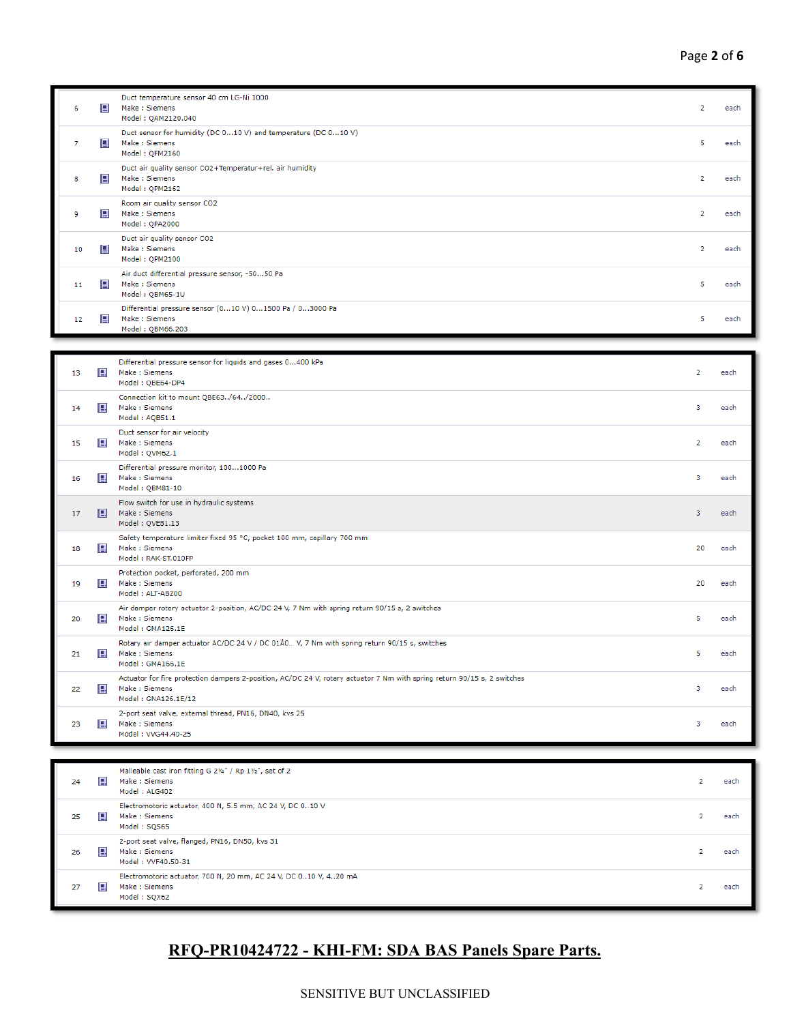| 6  | 目 | Duct temperature sensor 40 cm LG-Ni 1000<br>Make: Siemens<br>Model: QAM2120.040                   |                | each |
|----|---|---------------------------------------------------------------------------------------------------|----------------|------|
| 7  | 目 | Duct sensor for humidity (DC 010 V) and temperature (DC 010 V)<br>Make: Siemens<br>Model: QFM2160 | 5              | each |
| 8  | 日 | Duct air quality sensor CO2+Temperatur+rel. air humidity<br>Make: Siemens<br>Model: QPM2162       | 2              | each |
| 9  | 目 | Room air quality sensor CO2<br>Make: Siemens<br>Model: QPA2000                                    | ,              | each |
| 10 | 日 | Duct air quality sensor CO2<br>Make: Siemens<br>Model: QPM2100                                    | $\overline{2}$ | each |
| 11 | 目 | Air duct differential pressure sensor, -5050 Pa<br>Make: Siemens<br>Model: QBM65-1U               | 5              | each |
| 12 | 目 | Differential pressure sensor (010 V) 01500 Pa / 03000 Pa<br>Make: Siemens<br>Model: QBM66.203     |                | each |

| 13 | 目 | Differential pressure sensor for liquids and gases 0400 kPa<br>Make: Siemens<br>Model: OBE64-DP4                                                                 | $\overline{2}$ | each |
|----|---|------------------------------------------------------------------------------------------------------------------------------------------------------------------|----------------|------|
| 14 | 目 | Connection kit to mount QBE63/64/2000<br>Make: Siemens<br>Model: AQB51.1                                                                                         | 3              | each |
| 15 | в | Duct sensor for air velocity<br>Make: Siemens<br>Model: QVM62.1                                                                                                  | $\overline{2}$ | each |
| 16 | 目 | Differential pressure monitor, 1001000 Pa<br>Make: Siemens<br>Model: QBM81-10                                                                                    | 3              | each |
| 17 | 回 | Flow switch for use in hydraulic systems<br>Make: Siemens<br>Model: QVE81.13                                                                                     | 3              | each |
| 18 | 目 | Safety temperature limiter fixed 95 °C, pocket 100 mm, capillary 700 mm<br>Make: Siemens<br>Model: RAK-ST.010FP                                                  | 20             | each |
| 19 | 目 | Protection pocket, perforated, 200 mm<br>Make: Siemens<br>Model: ALT-AB200                                                                                       | 20             | each |
| 20 | 日 | Air damper rotary actuator 2-position, AC/DC 24 V, 7 Nm with spring return 90/15 s, 2 switches<br>Make: Siemens<br>Model: GMA126.1E                              | 5              | each |
| 21 | 日 | Rotary air damper actuator AC/DC 24 V / DC 01Â0 V, 7 Nm with spring return 90/15 s, switches<br>Make: Siemens<br>Model: GMA166.1E                                | 5              | each |
| 22 | 目 | Actuator for fire protection dampers 2-position, AC/DC 24 V, rotary actuator 7 Nm with spring return 90/15 s, 2 switches<br>Make: Siemens<br>Model: GNA126.1E/12 | 3              | each |
| 23 | П | 2-port seat valve, external thread, PN16, DN40, kvs 25<br>Make: Siemens<br>Model: VVG44.40-25                                                                    | з              | each |

| 24 | 目 | Malleable cast iron fitting G 21/4" / Rp 11/2", set of 2<br>Make: Siemens<br>Model: ALG402        | each |
|----|---|---------------------------------------------------------------------------------------------------|------|
| 25 | 目 | Electromotoric actuator, 400 N, 5.5 mm, AC 24 V, DC 010 V<br>Make: Siemens<br>Model: SQS65        | each |
| 26 | 目 | 2-port seat valve, flanged, PN16, DN50, kvs 31<br>Make: Siemens<br>Model: VVF40.50-31             | each |
| 27 | 目 | Electromotoric actuator, 700 N, 20 mm, AC 24 V, DC 010 V, 420 mA<br>Make: Siemens<br>Model: SQX62 | each |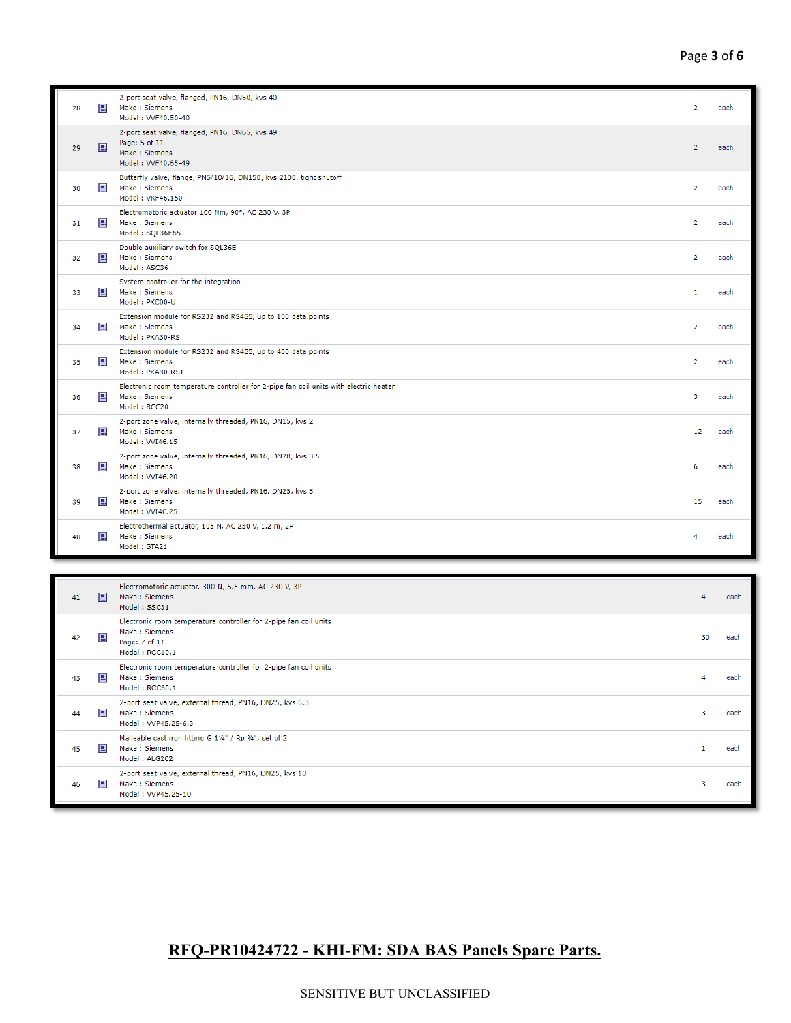| 28 | 目 | 2-port seat valve, flanged, PN16, DN50, kvs 40<br>Make: Siemens<br>Model: VVF40.50-40                                  | $\overline{2}$ | each |
|----|---|------------------------------------------------------------------------------------------------------------------------|----------------|------|
| 29 | 旧 | 2-port seat valve, flanged, PN16, DN65, kvs 49<br>Page: 5 of 11<br>Make: Siemens<br>Model: VVF40.65-49                 | $\overline{2}$ | each |
| 30 | 目 | Butterfly valve, flange, PN6/10/16, DN150, kvs 2100, tight shutoff<br>Make: Siemens<br>Model: VKF46.150                | $\overline{2}$ | each |
| 31 | 目 | Electromotoric actuator 100 Nm, 90°, AC 230 V, 3P<br>Make: Siemens<br>Model: SQL36E65                                  | $\overline{2}$ | each |
| 32 | 目 | Double auxiliary switch for SQL36E<br>Make: Siemens<br>Model: ASC36                                                    | $\overline{2}$ | each |
| 33 | 目 | System controller for the integration<br>Make: Siemens<br>Model: PXC00-U                                               | $\mathbf{1}$   | each |
| 34 | 目 | Extension module for RS232 and RS485, up to 100 data points<br>Make: Siemens<br>Model: PXA30-RS                        | $\overline{2}$ | each |
| 35 | 目 | Extension module for RS232 and RS485, up to 400 data points<br>Make: Siemens<br>Model: PXA30-RS1                       | $\overline{2}$ | each |
| 36 | 目 | Electronic room temperature controller for 2-pipe fan coil units with electric heater<br>Make: Siemens<br>Model: RCC20 | 3              | each |
| 37 | 目 | 2-port zone valve, internally threaded, PN16, DN15, kvs 2<br>Make: Siemens<br>Model: VVI46.15                          | 12             | each |
| 38 | 8 | 2-port zone valve, internally threaded, PN16, DN20, kvs 3.5<br>Make: Siemens<br>Model: VVI46.20                        | 6              | each |
| 39 | 目 | 2-port zone valve, internally threaded, PN16, DN25, kvs 5<br>Make: Siemens<br>Model: VVI46.25                          | 15             | each |
| 40 | 日 | Electrothermal actuator, 105 N, AC 230 V, 1.2 m, 2P<br>Make: Siemens<br>Model: STA21                                   | Δ              | each |

| 41 | IВ | Electromotoric actuator, 300 N, 5.5 mm, AC 230 V, 3P<br>Make: Siemens<br>Model: SSC31                                |    | each |
|----|----|----------------------------------------------------------------------------------------------------------------------|----|------|
| 42 | 日  | Electronic room temperature controller for 2-pipe fan coil units<br>Make: Siemens<br>Page: 7 of 11<br>Model: RCC10.1 | 30 | each |
| 43 | 目  | Electronic room temperature controller for 2-pipe fan coil units<br>Make: Siemens<br>Model: RCC60.1                  |    | each |
| 44 | 目  | 2-port seat valve, external thread, PN16, DN25, kvs 6.3<br>Make: Siemens<br>Model: VVP45.25-6.3                      | з  | each |
| 45 | 目  | Malleable cast iron fitting G 11/4" / Rp 3/4", set of 2<br>Make: Siemens<br>Model: ALG202                            |    | each |
| 46 | 目  | 2-port seat valve, external thread, PN16, DN25, kvs 10<br>Make: Siemens<br>Model: VVP45.25-10                        | R  | each |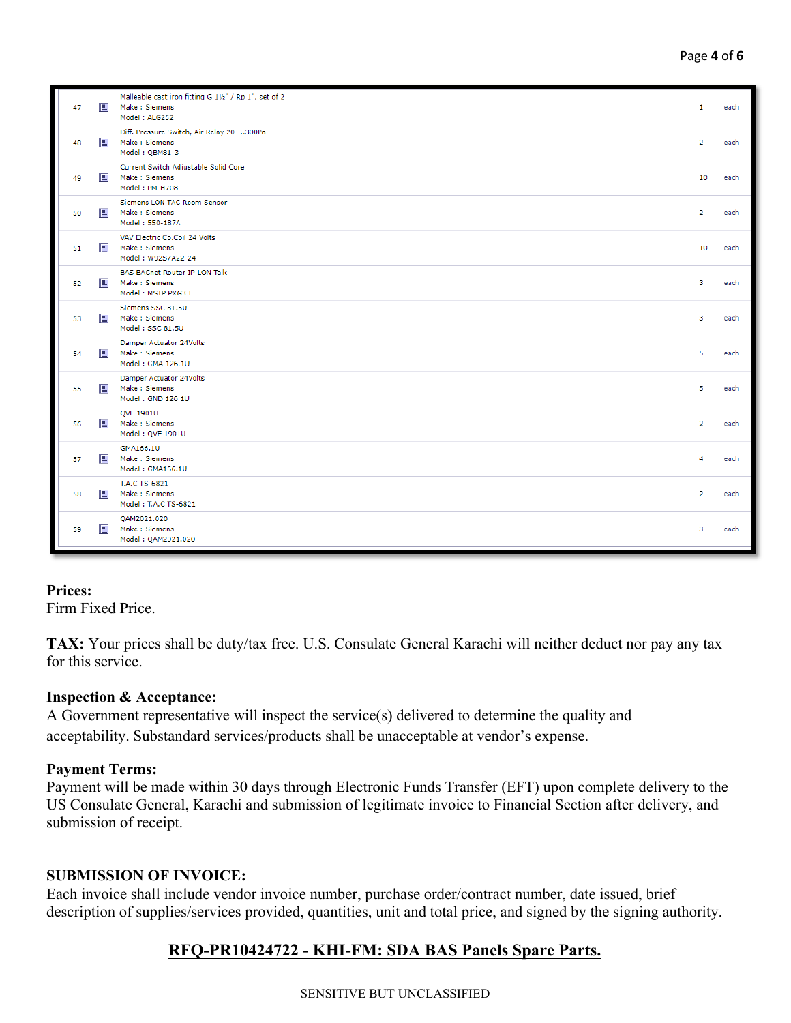| 47 | 日 | Malleable cast iron fitting G 11/2" / Rp 1", set of 2<br>Make: Siemens<br>Model: ALG252 | $\mathbf{1}$   | each |
|----|---|-----------------------------------------------------------------------------------------|----------------|------|
| 48 | 目 | Diff. Pressure Switch, Air Relay 20300Pa<br>Make: Siemens<br>Model: QBM81-3             | $\overline{2}$ | each |
| 49 | 目 | Current Switch Adjustable Solid Core<br>Make: Siemens<br>Model: PM-H708                 | 10             | each |
| 50 | 目 | Siemens LON TAC Room Sensor<br>Make: Siemens<br>Model: 550-187A                         | $\overline{2}$ | each |
| 51 | 目 | VAV Electric Co.Coil 24 Volts<br>Make: Siemens<br>Model: W92S7A22-24                    | 10             | each |
| 52 | 日 | BAS BACnet Router IP-LON Talk<br>Make: Siemens<br>Model: MSTP PXG3.L                    | з              | each |
| 53 | 目 | Siemens SSC 81.5U<br>Make: Siemens<br>Model: SSC 81.5U                                  | 3              | each |
| 54 | 目 | Damper Actuator 24Volts<br>Make: Siemens<br>Model: GMA 126.1U                           | 5              | each |
| 55 | 日 | Damper Actuator 24Volts<br>Make: Siemens<br>Model: GND 126.1U                           | 5              | each |
| 56 | 目 | <b>QVE 1901U</b><br>Make: Siemens<br>Model: QVE 1901U                                   | $\overline{2}$ | each |
| 57 | 日 | GMA166.1U<br>Make: Siemens<br>Model: GMA166.1U                                          | 4              | each |
| 58 | 目 | T.A.C TS-6821<br>Make: Siemens<br>Model: T.A.C TS-6821                                  | $\overline{2}$ | each |
| 59 | 目 | QAM2021.020<br>Make: Siemens<br>Model: QAM2021.020                                      | 3              | each |

#### **Prices:**

Firm Fixed Price.

**TAX:** Your prices shall be duty/tax free. U.S. Consulate General Karachi will neither deduct nor pay any tax for this service.

#### **Inspection & Acceptance:**

A Government representative will inspect the service(s) delivered to determine the quality and acceptability. Substandard services/products shall be unacceptable at vendor's expense.

#### **Payment Terms:**

Payment will be made within 30 days through Electronic Funds Transfer (EFT) upon complete delivery to the US Consulate General, Karachi and submission of legitimate invoice to Financial Section after delivery, and submission of receipt.

#### **SUBMISSION OF INVOICE:**

Each invoice shall include vendor invoice number, purchase order/contract number, date issued, brief description of supplies/services provided, quantities, unit and total price, and signed by the signing authority.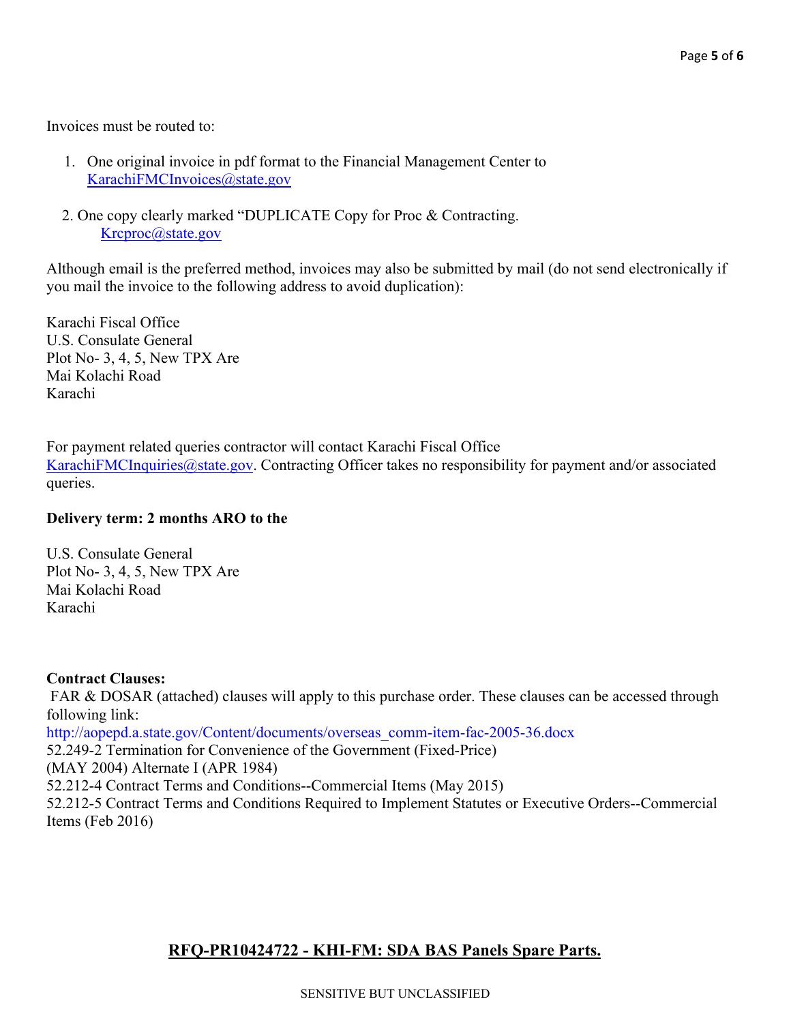Invoices must be routed to:

- 1. One original invoice in pdf format to the Financial Management Center to KarachiFMCInvoices@state.gov
- 2. One copy clearly marked "DUPLICATE Copy for Proc & Contracting. Krcproc@state.gov

Although email is the preferred method, invoices may also be submitted by mail (do not send electronically if you mail the invoice to the following address to avoid duplication):

Karachi Fiscal Office U.S. Consulate General Plot No- 3, 4, 5, New TPX Are Mai Kolachi Road Karachi

For payment related queries contractor will contact Karachi Fiscal Office KarachiFMCInquiries@state.gov. Contracting Officer takes no responsibility for payment and/or associated queries.

#### **Delivery term: 2 months ARO to the**

U.S. Consulate General Plot No- 3, 4, 5, New TPX Are Mai Kolachi Road Karachi

#### **Contract Clauses:**

FAR & DOSAR (attached) clauses will apply to this purchase order. These clauses can be accessed through following link:

http://aopepd.a.state.gov/Content/documents/overseas\_comm-item-fac-2005-36.docx

52.249-2 Termination for Convenience of the Government (Fixed-Price)

(MAY 2004) Alternate I (APR 1984)

52.212-4 Contract Terms and Conditions--Commercial Items (May 2015)

52.212-5 Contract Terms and Conditions Required to Implement Statutes or Executive Orders--Commercial Items (Feb 2016)